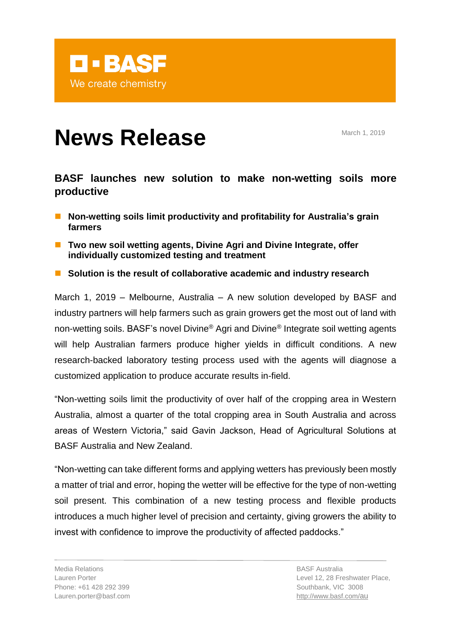

# **News Release** March 1, 2019

# **BASF launches new solution to make non-wetting soils more productive**

- Non-wetting soils limit productivity and profitability for Australia's grain **farmers**
- **Two new soil wetting agents, Divine Agri and Divine Integrate, offer individually customized testing and treatment**
- Solution is the result of collaborative academic and industry research

March 1, 2019 – Melbourne, Australia – A new solution developed by BASF and industry partners will help farmers such as grain growers get the most out of land with non-wetting soils. BASF's novel Divine® Agri and Divine® Integrate soil wetting agents will help Australian farmers produce higher yields in difficult conditions. A new research-backed laboratory testing process used with the agents will diagnose a customized application to produce accurate results in-field.

"Non-wetting soils limit the productivity of over half of the cropping area in Western Australia, almost a quarter of the total cropping area in South Australia and across areas of Western Victoria," said Gavin Jackson, Head of Agricultural Solutions at BASF Australia and New Zealand.

"Non-wetting can take different forms and applying wetters has previously been mostly a matter of trial and error, hoping the wetter will be effective for the type of non-wetting soil present. This combination of a new testing process and flexible products introduces a much higher level of precision and certainty, giving growers the ability to invest with confidence to improve the productivity of affected paddocks."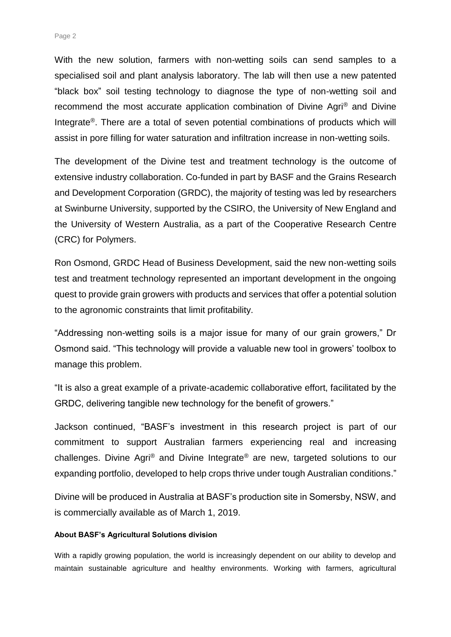With the new solution, farmers with non-wetting soils can send samples to a specialised soil and plant analysis laboratory. The lab will then use a new patented "black box" soil testing technology to diagnose the type of non-wetting soil and recommend the most accurate application combination of Divine Agri® and Divine Integrate<sup>®</sup>. There are a total of seven potential combinations of products which will assist in pore filling for water saturation and infiltration increase in non-wetting soils.

The development of the Divine test and treatment technology is the outcome of extensive industry collaboration. Co-funded in part by BASF and the Grains Research and Development Corporation (GRDC), the majority of testing was led by researchers at Swinburne University, supported by the CSIRO, the University of New England and the University of Western Australia, as a part of the Cooperative Research Centre (CRC) for Polymers.

Ron Osmond, GRDC Head of Business Development, said the new non-wetting soils test and treatment technology represented an important development in the ongoing quest to provide grain growers with products and services that offer a potential solution to the agronomic constraints that limit profitability.

"Addressing non-wetting soils is a major issue for many of our grain growers," Dr Osmond said. "This technology will provide a valuable new tool in growers' toolbox to manage this problem.

"It is also a great example of a private-academic collaborative effort, facilitated by the GRDC, delivering tangible new technology for the benefit of growers."

Jackson continued, "BASF's investment in this research project is part of our commitment to support Australian farmers experiencing real and increasing challenges. Divine Agri® and Divine Integrate® are new, targeted solutions to our expanding portfolio, developed to help crops thrive under tough Australian conditions."

Divine will be produced in Australia at BASF's production site in Somersby, NSW, and is commercially available as of March 1, 2019.

## **About BASF's Agricultural Solutions division**

With a rapidly growing population, the world is increasingly dependent on our ability to develop and maintain sustainable agriculture and healthy environments. Working with farmers, agricultural